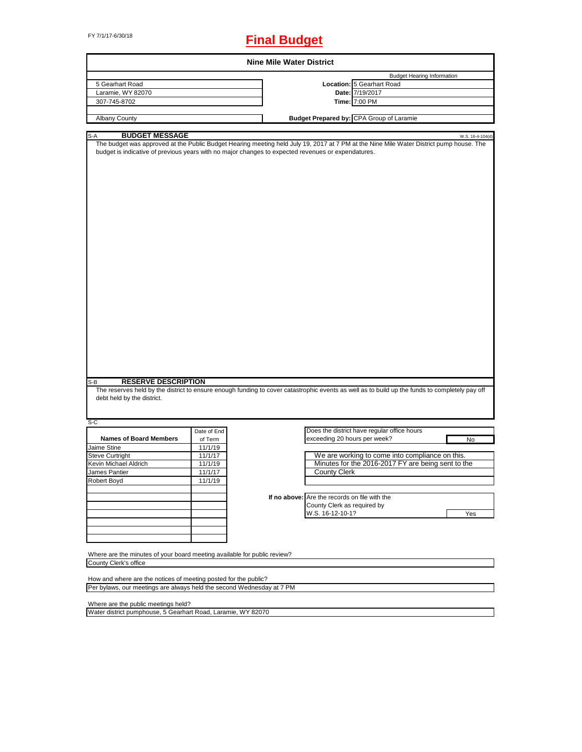# FY 7/1/17-6/30/18 **Final Budget**

| <b>Nine Mile Water District</b>                                                                    |                                                                                                                                                             |  |  |
|----------------------------------------------------------------------------------------------------|-------------------------------------------------------------------------------------------------------------------------------------------------------------|--|--|
|                                                                                                    | <b>Budget Hearing Information</b>                                                                                                                           |  |  |
|                                                                                                    | Location: 5 Gearhart Road                                                                                                                                   |  |  |
|                                                                                                    | Date: 7/19/2017                                                                                                                                             |  |  |
|                                                                                                    | Time: 7:00 PM                                                                                                                                               |  |  |
|                                                                                                    |                                                                                                                                                             |  |  |
|                                                                                                    | <b>Budget Prepared by: CPA Group of Laramie</b>                                                                                                             |  |  |
|                                                                                                    |                                                                                                                                                             |  |  |
| budget is indicative of previous years with no major changes to expected revenues or expendatures. | W.S. 16-4-104(d)<br>The budget was approved at the Public Budget Hearing meeting held July 19, 2017 at 7 PM at the Nine Mile Water District pump house. The |  |  |
|                                                                                                    | The reserves held by the district to ensure enough funding to cover catastrophic events as well as to build up the funds to completely pay off              |  |  |
|                                                                                                    |                                                                                                                                                             |  |  |
|                                                                                                    | Does the district have regular office hours                                                                                                                 |  |  |
| exceeding 20 hours per week?                                                                       | No                                                                                                                                                          |  |  |
|                                                                                                    |                                                                                                                                                             |  |  |
|                                                                                                    | We are working to come into compliance on this.                                                                                                             |  |  |
|                                                                                                    | Minutes for the 2016-2017 FY are being sent to the                                                                                                          |  |  |
| <b>County Clerk</b>                                                                                |                                                                                                                                                             |  |  |
|                                                                                                    |                                                                                                                                                             |  |  |
|                                                                                                    |                                                                                                                                                             |  |  |
| If no above: Are the records on file with the                                                      |                                                                                                                                                             |  |  |
| County Clerk as required by                                                                        |                                                                                                                                                             |  |  |
| W.S. 16-12-10-1?                                                                                   | Yes                                                                                                                                                         |  |  |
|                                                                                                    |                                                                                                                                                             |  |  |
|                                                                                                    |                                                                                                                                                             |  |  |
|                                                                                                    |                                                                                                                                                             |  |  |
|                                                                                                    |                                                                                                                                                             |  |  |
| Where are the minutes of your board meeting available for public review?                           |                                                                                                                                                             |  |  |
|                                                                                                    |                                                                                                                                                             |  |  |
|                                                                                                    |                                                                                                                                                             |  |  |
| How and where are the notices of meeting posted for the public?                                    |                                                                                                                                                             |  |  |
| Per bylaws, our meetings are always held the second Wednesday at 7 PM                              |                                                                                                                                                             |  |  |
|                                                                                                    |                                                                                                                                                             |  |  |

Where are the public meetings held?

Water district pumphouse, 5 Gearhart Road, Laramie, WY 82070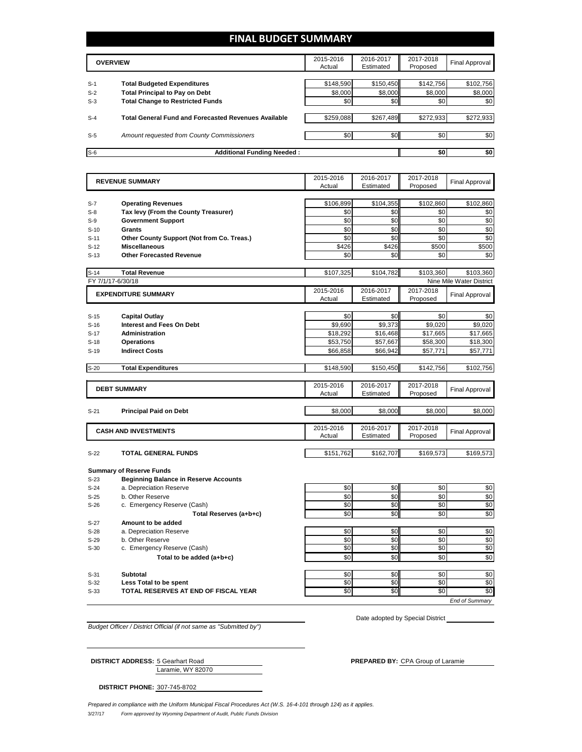# **FINAL BUDGET SUMMARY**

|       | <b>OVERVIEW</b>                                             |           | 2016-2017<br>Estimated | 2017-2018<br>Proposed | Final Approval |
|-------|-------------------------------------------------------------|-----------|------------------------|-----------------------|----------------|
|       |                                                             |           |                        |                       |                |
| $S-1$ | <b>Total Budgeted Expenditures</b>                          | \$148,590 | \$150,450              | \$142,756             | \$102,756      |
| $S-2$ | <b>Total Principal to Pay on Debt</b>                       | \$8,000   | \$8,000                | \$8,000               | \$8,000        |
| $S-3$ | <b>Total Change to Restricted Funds</b>                     | \$0       | \$0                    | \$0                   | \$0            |
|       |                                                             |           |                        |                       |                |
| $S-4$ | <b>Total General Fund and Forecasted Revenues Available</b> | \$259,088 | \$267,489              | \$272,933             | \$272,933      |
|       |                                                             |           |                        |                       |                |
| $S-5$ | <b>Amount requested from County Commissioners</b>           | \$0       | \$0 <sub>1</sub>       | \$0                   | \$0            |
|       |                                                             |           |                        |                       |                |
| $S-6$ | <b>Additional Funding Needed:</b>                           |           |                        | \$0                   | \$0            |

|                   | <b>REVENUE SUMMARY</b>                       | 2015-2016           | 2016-2017              | 2017-2018             | <b>Final Approval</b>    |
|-------------------|----------------------------------------------|---------------------|------------------------|-----------------------|--------------------------|
|                   |                                              | Actual              | Estimated              | Proposed              |                          |
| $S-7$             | <b>Operating Revenues</b>                    | \$106,899           | \$104,355              | \$102,860             | \$102,860                |
| $S-8$             | Tax levy (From the County Treasurer)         | \$0                 | \$0                    | \$0                   | \$0                      |
| $S-9$             | <b>Government Support</b>                    | \$0                 | \$0                    | \$0                   | \$0                      |
| $S-10$            | <b>Grants</b>                                | \$0                 | \$0                    | \$0                   | \$0                      |
| $S-11$            | Other County Support (Not from Co. Treas.)   | \$0                 | \$0                    | \$0                   | \$0                      |
| $S-12$            | <b>Miscellaneous</b>                         | \$426               | \$426                  | \$500                 | \$500                    |
| $S-13$            | <b>Other Forecasted Revenue</b>              | \$0                 | \$0                    | \$0                   | \$0                      |
|                   |                                              |                     |                        |                       |                          |
| $S-14$            | <b>Total Revenue</b>                         | \$107,325           | \$104,782              | \$103,360             | \$103,360                |
| FY 7/1/17-6/30/18 |                                              |                     |                        |                       | Nine Mile Water District |
|                   | <b>EXPENDITURE SUMMARY</b>                   | 2015-2016           | 2016-2017              | 2017-2018             | <b>Final Approval</b>    |
|                   |                                              | Actual              | Estimated              | Proposed              |                          |
| $S-15$            | <b>Capital Outlay</b>                        | \$0                 | \$0                    | \$0                   | \$0                      |
|                   | <b>Interest and Fees On Debt</b>             | \$9,690             | \$9,373                | \$9,020               | \$9,020                  |
| $S-16$<br>$S-17$  | <b>Administration</b>                        | \$18,292            | \$16,468               | \$17,665              | \$17,665                 |
| $S-18$            | <b>Operations</b>                            | \$53,750            | \$57,667               | \$58,300              | \$18,300                 |
| $S-19$            | <b>Indirect Costs</b>                        | \$66,858            | \$66,942               | \$57,771              | \$57,771                 |
|                   |                                              |                     |                        |                       |                          |
| $S-20$            | <b>Total Expenditures</b>                    | \$148,590           | \$150,450              | \$142,756             | \$102,756                |
|                   |                                              | 2015-2016           | 2016-2017              | 2017-2018             |                          |
|                   | <b>DEBT SUMMARY</b>                          | Actual              | Estimated              | Proposed              | <b>Final Approval</b>    |
|                   |                                              |                     |                        |                       |                          |
| $S-21$            | <b>Principal Paid on Debt</b>                | \$8,000             | \$8.000                | \$8.000               | \$8,000                  |
|                   |                                              |                     |                        |                       |                          |
|                   | <b>CASH AND INVESTMENTS</b>                  | 2015-2016<br>Actual | 2016-2017<br>Estimated | 2017-2018<br>Proposed | <b>Final Approval</b>    |
|                   |                                              |                     |                        |                       |                          |
| $S-22$            | <b>TOTAL GENERAL FUNDS</b>                   | \$151,762           | \$162,707              | \$169,573             | \$169,573                |
|                   |                                              |                     |                        |                       |                          |
|                   | <b>Summary of Reserve Funds</b>              |                     |                        |                       |                          |
| $S-23$            | <b>Beginning Balance in Reserve Accounts</b> |                     |                        |                       |                          |
| $S-24$            | a. Depreciation Reserve                      | \$0                 | \$0                    | \$0                   | \$0                      |
| $S-25$            | b. Other Reserve                             | \$0<br>\$0          | \$0<br>\$0             | \$0<br>\$0            | \$0<br>\$0               |
| $S-26$            | c. Emergency Reserve (Cash)                  |                     |                        |                       |                          |
|                   | Total Reserves (a+b+c)                       | \$0                 | \$0                    | \$0                   | \$0                      |
| $S-27$            | Amount to be added                           |                     |                        |                       |                          |
| $S-28$            | a. Depreciation Reserve                      | \$0                 | \$0                    | \$0                   | \$0                      |
| $S-29$<br>$S-30$  | b. Other Reserve                             | \$0<br>\$0          | \$0<br>\$0             | \$0<br>\$0            | \$0<br>\$0               |
|                   | c. Emergency Reserve (Cash)                  |                     |                        |                       |                          |
|                   | Total to be added (a+b+c)                    | \$0                 | \$0                    | \$0                   | \$0                      |
| $S-31$            | <b>Subtotal</b>                              | \$0                 | \$0                    | \$0                   | \$0                      |
| $S-32$            | Less Total to be spent                       | \$0                 | \$0                    | \$0                   | \$0                      |
| $S-33$            | TOTAL RESERVES AT END OF FISCAL YEAR         | \$0                 | \$0                    | \$0                   | \$0                      |
|                   |                                              |                     |                        |                       | <b>End of Summarv</b>    |

*Budget Officer / District Official (if not same as "Submitted by")*

Date adopted by Special District

Laramie, WY 82070 **DISTRICT ADDRESS:** 5 Gearhart Road **PREPARED BY:** CPA Group of Laramie

**DISTRICT PHONE:** 307-745-8702

3/27/17 *Form approved by Wyoming Department of Audit, Public Funds Division Prepared in compliance with the Uniform Municipal Fiscal Procedures Act (W.S. 16-4-101 through 124) as it applies.*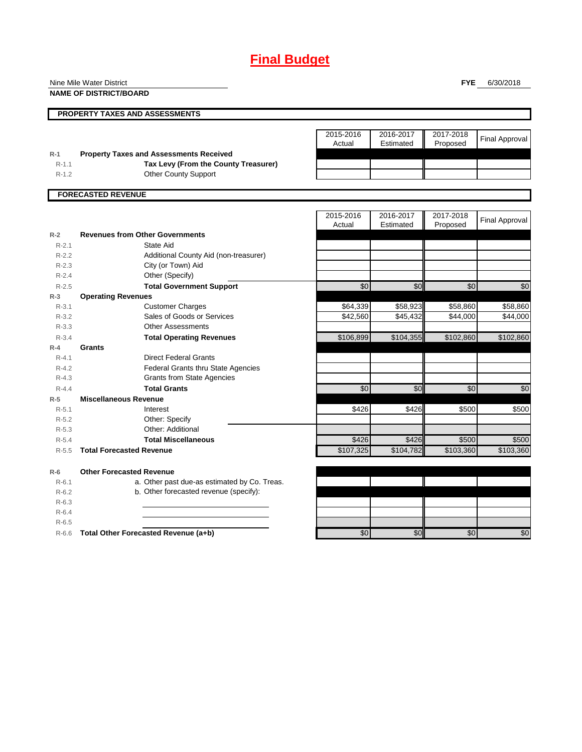# **Final Budget**

**PROPERTY TAXES AND ASSESSMENTS** Actual **R-1 Property Taxes and Assessments Received** R-1.1 **Tax Levy (From the County Treasurer)**<br>R-1.2 **Other County Support NAME OF DISTRICT/BOARD**

Other County Support

| 2015-2016 | 2016-2017 | 2017-2018 | <b>Final Approval</b> |
|-----------|-----------|-----------|-----------------------|
| Actual    | Estimated | Proposed  |                       |
|           |           |           |                       |
|           |           |           |                       |
|           |           |           |                       |
|           |           |           |                       |

**FORECASTED REVENUE**

|           |                                              | 2015-2016<br>Actual   | 2016-2017<br>Estimated | 2017-2018<br>Proposed | <b>Final Approval</b> |
|-----------|----------------------------------------------|-----------------------|------------------------|-----------------------|-----------------------|
| $R-2$     | <b>Revenues from Other Governments</b>       |                       |                        |                       |                       |
| $R - 2.1$ | State Aid                                    |                       |                        |                       |                       |
| $R-2.2$   | Additional County Aid (non-treasurer)        |                       |                        |                       |                       |
| $R-2.3$   | City (or Town) Aid                           |                       |                        |                       |                       |
| $R - 2.4$ | Other (Specify)                              |                       |                        |                       |                       |
| $R - 2.5$ | <b>Total Government Support</b>              | \$0                   | \$0                    | \$0                   | \$0                   |
| $R-3$     | <b>Operating Revenues</b>                    |                       |                        |                       |                       |
| $R - 3.1$ | <b>Customer Charges</b>                      | \$64,339              | \$58,923               | \$58,860              | \$58,860              |
| $R - 3.2$ | Sales of Goods or Services                   | \$42,560              | \$45,432               | \$44,000              | \$44,000              |
| $R - 3.3$ | <b>Other Assessments</b>                     |                       |                        |                       |                       |
| $R - 3.4$ | <b>Total Operating Revenues</b>              | \$106,899             | \$104,355              | \$102,860             | \$102,860             |
| $R-4$     | Grants                                       |                       |                        |                       |                       |
| $R - 4.1$ | <b>Direct Federal Grants</b>                 |                       |                        |                       |                       |
| $R - 4.2$ | <b>Federal Grants thru State Agencies</b>    |                       |                        |                       |                       |
| $R - 4.3$ | <b>Grants from State Agencies</b>            |                       |                        |                       |                       |
| $R - 4.4$ | <b>Total Grants</b>                          | \$0                   | \$0                    | \$0                   | \$0                   |
| $R-5$     | <b>Miscellaneous Revenue</b>                 |                       |                        |                       |                       |
| $R-5.1$   | Interest                                     | \$426                 | \$426                  | \$500                 | \$500                 |
| $R-5.2$   | Other: Specify                               |                       |                        |                       |                       |
| $R - 5.3$ | Other: Additional                            |                       |                        |                       |                       |
| $R-5.4$   | <b>Total Miscellaneous</b>                   | \$426                 | \$426                  | \$500                 | \$500                 |
| $R - 5.5$ | <b>Total Forecasted Revenue</b>              | $\overline{$107,325}$ | \$104,782              | \$103,360             | \$103,360             |
| $R-6$     | <b>Other Forecasted Revenue</b>              |                       |                        |                       |                       |
| $R - 6.1$ | a. Other past due-as estimated by Co. Treas. |                       |                        |                       |                       |
| $R-6.2$   | b. Other forecasted revenue (specify):       |                       |                        |                       |                       |
| $R-6.3$   |                                              |                       |                        |                       |                       |
| $R-6.4$   |                                              |                       |                        |                       |                       |
| $R-6.5$   |                                              |                       |                        |                       |                       |
| $R-6.6$   | Total Other Forecasted Revenue (a+b)         | $\overline{30}$       | \$0                    | \$0                   | \$0                   |

#### **FYE** 6/30/2018

Nine Mile Water District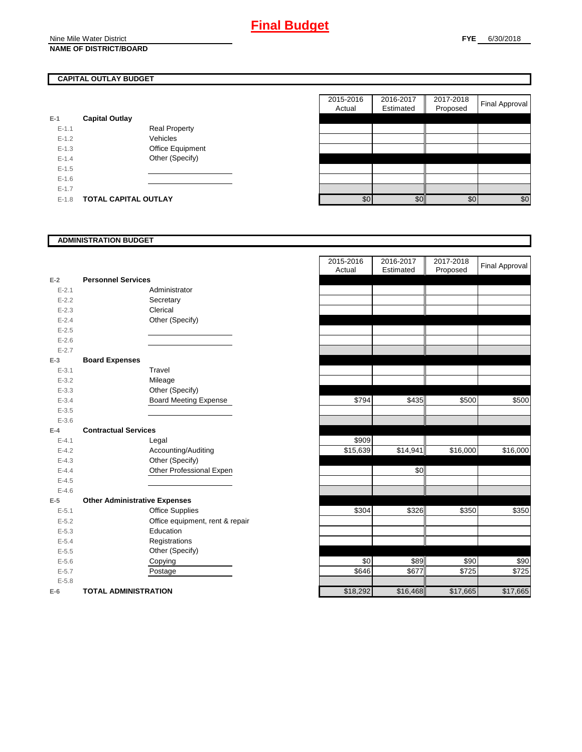# **CAPITAL OUTLAY BUDGET**

| E-1       | <b>Capital Outlay</b> |                         |
|-----------|-----------------------|-------------------------|
| $E - 1.1$ |                       | Real Property           |
| $F-12$    |                       | Vehicles                |
| $F-1.3$   |                       | <b>Office Equipment</b> |
| $F-14$    |                       | Other (Specify)         |
| $E - 1.5$ |                       |                         |
| $E - 1.6$ |                       |                         |
| $E - 1.7$ |                       |                         |
| $E-1.8$   | TOTAL CAPITAL OUTLAY  |                         |

|           |                             |                      | 2015-2016<br>Actual | 2016-2017<br>Estimated | 2017-2018<br>Proposed | Final Approval |
|-----------|-----------------------------|----------------------|---------------------|------------------------|-----------------------|----------------|
|           | <b>Capital Outlay</b>       |                      |                     |                        |                       |                |
| $E-1.1$   |                             | <b>Real Property</b> |                     |                        |                       |                |
| $E-1.2$   |                             | Vehicles             |                     |                        |                       |                |
| $E-1.3$   |                             | Office Equipment     |                     |                        |                       |                |
| $E - 1.4$ |                             | Other (Specify)      |                     |                        |                       |                |
| $E-1.5$   |                             |                      |                     |                        |                       |                |
| $E-1.6$   |                             |                      |                     |                        |                       |                |
| $E - 1.7$ |                             |                      |                     |                        |                       |                |
| $E-1.8$   | <b>TOTAL CAPITAL OUTLAY</b> |                      | \$0                 | \$0                    | \$0                   | \$0            |

#### **ADMINISTRATION BUDGET**

|           |                                      |                                 | Actual   | Estimated |
|-----------|--------------------------------------|---------------------------------|----------|-----------|
| $E-2$     | <b>Personnel Services</b>            |                                 |          |           |
| $E - 2.1$ |                                      | Administrator                   |          |           |
| $E - 2.2$ |                                      | Secretary                       |          |           |
| $E - 2.3$ |                                      | Clerical                        |          |           |
| $E - 2.4$ |                                      | Other (Specify)                 |          |           |
| $E - 2.5$ |                                      |                                 |          |           |
| $E - 2.6$ |                                      |                                 |          |           |
| $E - 2.7$ |                                      |                                 |          |           |
| $E-3$     | <b>Board Expenses</b>                |                                 |          |           |
| $E - 3.1$ |                                      | Travel                          |          |           |
| $E - 3.2$ |                                      | Mileage                         |          |           |
| $E - 3.3$ |                                      | Other (Specify)                 |          |           |
| $E - 3.4$ |                                      | <b>Board Meeting Expense</b>    | \$794    | \$435     |
| $E - 3.5$ |                                      |                                 |          |           |
| $E - 3.6$ |                                      |                                 |          |           |
| $E-4$     | <b>Contractual Services</b>          |                                 |          |           |
| $E - 4.1$ |                                      | Legal                           | \$909    |           |
| $E - 4.2$ |                                      | Accounting/Auditing             | \$15,639 | \$14,941  |
| $E - 4.3$ |                                      | Other (Specify)                 |          |           |
| $E - 4.4$ |                                      | Other Professional Expen        |          | \$0       |
| $E - 4.5$ |                                      |                                 |          |           |
| $E - 4.6$ |                                      |                                 |          |           |
| $E-5$     | <b>Other Administrative Expenses</b> |                                 |          |           |
| $E - 5.1$ |                                      | <b>Office Supplies</b>          | \$304    | \$326     |
| $E - 5.2$ |                                      | Office equipment, rent & repair |          |           |
| $E - 5.3$ |                                      | Education                       |          |           |
| $E - 5.4$ |                                      | Registrations                   |          |           |
| $E - 5.5$ |                                      | Other (Specify)                 |          |           |
| $E - 5.6$ |                                      | Copying                         | \$0      | \$89      |
| $E - 5.7$ |                                      | Postage                         | \$646    | \$677     |
| $E - 5.8$ |                                      |                                 |          |           |
| $E-6$     | <b>TOTAL ADMINISTRATION</b>          |                                 | \$18,292 | \$16,468  |

|           |                                      | 2015-2016<br>Actual | 2016-2017<br>Estimated | 2017-2018<br>Proposed | <b>Final Approval</b> |
|-----------|--------------------------------------|---------------------|------------------------|-----------------------|-----------------------|
| $E-2$     | <b>Personnel Services</b>            |                     |                        |                       |                       |
| $E - 2.1$ | Administrator                        |                     |                        |                       |                       |
| $E - 2.2$ | Secretary                            |                     |                        |                       |                       |
| $E - 2.3$ | Clerical                             |                     |                        |                       |                       |
| $E - 2.4$ | Other (Specify)                      |                     |                        |                       |                       |
| $E - 2.5$ |                                      |                     |                        |                       |                       |
| $E - 2.6$ |                                      |                     |                        |                       |                       |
| $E - 2.7$ |                                      |                     |                        |                       |                       |
| $E-3$     | <b>Board Expenses</b>                |                     |                        |                       |                       |
| $E - 3.1$ | Travel                               |                     |                        |                       |                       |
| $E - 3.2$ | Mileage                              |                     |                        |                       |                       |
| $E - 3.3$ | Other (Specify)                      |                     |                        |                       |                       |
| $E - 3.4$ | <b>Board Meeting Expense</b>         | \$794               | \$435                  | \$500                 | \$500                 |
| $E - 3.5$ |                                      |                     |                        |                       |                       |
| $E - 3.6$ |                                      |                     |                        |                       |                       |
| $E-4$     | <b>Contractual Services</b>          |                     |                        |                       |                       |
| $E - 4.1$ | Legal                                | \$909               |                        |                       |                       |
| $E - 4.2$ | Accounting/Auditing                  | \$15,639            | \$14,941               | \$16,000              | \$16,000              |
| $E - 4.3$ | Other (Specify)                      |                     |                        |                       |                       |
| $E - 4.4$ | Other Professional Expen             |                     | \$0                    |                       |                       |
| $E - 4.5$ |                                      |                     |                        |                       |                       |
| $E-4.6$   |                                      |                     |                        |                       |                       |
| $E-5$     | <b>Other Administrative Expenses</b> |                     |                        |                       |                       |
| $E - 5.1$ | <b>Office Supplies</b>               | \$304               | \$326                  | \$350                 | \$350                 |
| $E - 5.2$ | Office equipment, rent & repair      |                     |                        |                       |                       |
| $E - 5.3$ | Education                            |                     |                        |                       |                       |
| $E - 5.4$ | Registrations                        |                     |                        |                       |                       |
| $E-5.5$   | Other (Specify)                      |                     |                        |                       |                       |
| $E-5.6$   | Copying                              | \$0                 | \$89                   | \$90                  | \$90                  |
| $E - 5.7$ | Postage                              | \$646               | \$677                  | \$725                 | \$725                 |
| $E - 5.8$ |                                      |                     |                        |                       |                       |
| $E-6$     | <b>TOTAL ADMINISTRATION</b>          | \$18,292            | \$16,468               | \$17,665              | \$17,665              |
|           |                                      |                     |                        |                       |                       |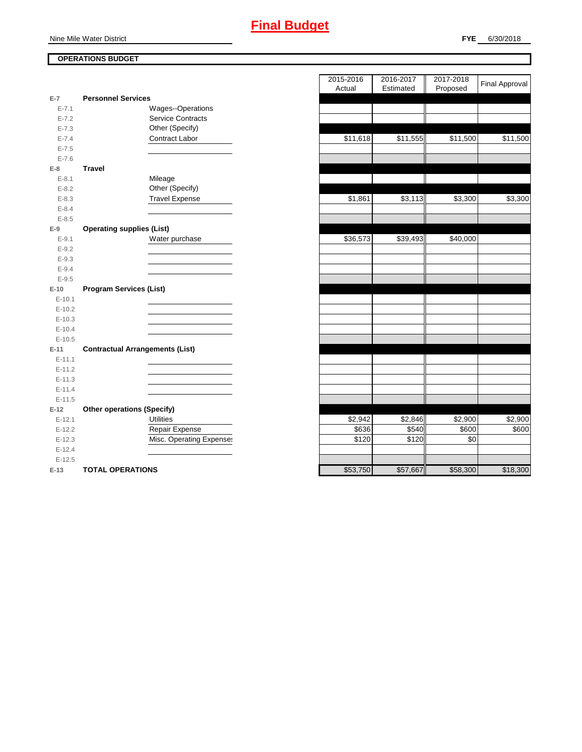Nine Mile Water District

# **OPERATIONS BUDGET**

| $E-7$     | <b>Personnel Services</b>              |          |          |          |
|-----------|----------------------------------------|----------|----------|----------|
| $E - 7.1$ | Wages--Operations                      |          |          |          |
| $E - 7.2$ | Service Contracts                      |          |          |          |
| $E - 7.3$ | Other (Specify)                        |          |          |          |
| $E - 7.4$ | Contract Labor                         | \$11,618 | \$11,555 | \$11,500 |
| $E - 7.5$ |                                        |          |          |          |
| $E - 7.6$ |                                        |          |          |          |
| $E-8$     | <b>Travel</b>                          |          |          |          |
| $E - 8.1$ | Mileage                                |          |          |          |
| $E - 8.2$ | Other (Specify)                        |          |          |          |
| $E - 8.3$ | <b>Travel Expense</b>                  | \$1,861  | \$3,113  | \$3,300  |
| $E - 8.4$ |                                        |          |          |          |
| $E - 8.5$ |                                        |          |          |          |
| $E-9$     | <b>Operating supplies (List)</b>       |          |          |          |
| $E - 9.1$ | Water purchase                         | \$36,573 | \$39,493 | \$40,000 |
| $E - 9.2$ |                                        |          |          |          |
| $E - 9.3$ |                                        |          |          |          |
| $E - 9.4$ |                                        |          |          |          |
| $E - 9.5$ |                                        |          |          |          |
| $E-10$    | <b>Program Services (List)</b>         |          |          |          |
| $E-10.1$  |                                        |          |          |          |
| $E-10.2$  |                                        |          |          |          |
| $E-10.3$  |                                        |          |          |          |
| $E-10.4$  |                                        |          |          |          |
| $E-10.5$  |                                        |          |          |          |
| $E-11$    | <b>Contractual Arrangements (List)</b> |          |          |          |
| $E-11.1$  |                                        |          |          |          |
| $E-11.2$  |                                        |          |          |          |
| $E-11.3$  |                                        |          |          |          |
| $E-11.4$  |                                        |          |          |          |
| $E-11.5$  |                                        |          |          |          |
| $E-12$    | <b>Other operations (Specify)</b>      |          |          |          |
| $E-12.1$  | <b>Utilities</b>                       | \$2,942  | \$2,846  | \$2,900  |
| $E-12.2$  | Repair Expense                         | \$636    | \$540    | \$600    |
| $E-12.3$  | Misc. Operating Expense:               | \$120    | \$120    | \$0      |
| $E-12.4$  |                                        |          |          |          |
| $E-12.5$  |                                        |          |          |          |
| $E-13$    | <b>TOTAL OPERATIONS</b>                | \$53,750 | \$57,667 | \$58,300 |

|                |                                        | 2015-2016 | 2016-2017<br>Estimated | 2017-2018 | <b>Final Approval</b> |
|----------------|----------------------------------------|-----------|------------------------|-----------|-----------------------|
| $\overline{7}$ | <b>Personnel Services</b>              | Actual    |                        | Proposed  |                       |
| $E - 7.1$      | Wages--Operations                      |           |                        |           |                       |
| $E - 7.2$      | <b>Service Contracts</b>               |           |                        |           |                       |
| $E - 7.3$      | Other (Specify)                        |           |                        |           |                       |
| $E - 7.4$      | Contract Labor                         | \$11,618  | \$11,555               | \$11,500  | \$11,500              |
| $E - 7.5$      |                                        |           |                        |           |                       |
| $E - 7.6$      |                                        |           |                        |           |                       |
| 8              | <b>Travel</b>                          |           |                        |           |                       |
| $E-8.1$        | Mileage                                |           |                        |           |                       |
| $E - 8.2$      | Other (Specify)                        |           |                        |           |                       |
| $E - 8.3$      | <b>Travel Expense</b>                  | \$1,861   | \$3,113                | \$3,300   | \$3,300               |
| $E - 8.4$      |                                        |           |                        |           |                       |
| $E - 8.5$      |                                        |           |                        |           |                       |
| 9              | <b>Operating supplies (List)</b>       |           |                        |           |                       |
| $E - 9.1$      | Water purchase                         | \$36,573  | \$39,493               | \$40,000  |                       |
| $E - 9.2$      |                                        |           |                        |           |                       |
| $E - 9.3$      |                                        |           |                        |           |                       |
| $E - 9.4$      |                                        |           |                        |           |                       |
| $E - 9.5$      |                                        |           |                        |           |                       |
| 10             | <b>Program Services (List)</b>         |           |                        |           |                       |
| $E-10.1$       |                                        |           |                        |           |                       |
| $E-10.2$       |                                        |           |                        |           |                       |
| $E-10.3$       |                                        |           |                        |           |                       |
| $E-10.4$       |                                        |           |                        |           |                       |
| $E-10.5$       |                                        |           |                        |           |                       |
| $-11$          | <b>Contractual Arrangements (List)</b> |           |                        |           |                       |
| $E-11.1$       |                                        |           |                        |           |                       |
| $E-11.2$       |                                        |           |                        |           |                       |
| $E-11.3$       |                                        |           |                        |           |                       |
| $E-11.4$       |                                        |           |                        |           |                       |
| $E-11.5$       |                                        |           |                        |           |                       |
| 12             | <b>Other operations (Specify)</b>      |           |                        |           |                       |
| $E-12.1$       | <b>Utilities</b>                       | \$2,942   | \$2,846                | \$2,900   | \$2,900               |
| $E-12.2$       | Repair Expense                         | \$636     | \$540                  | \$600     | \$600                 |
| $E-12.3$       | Misc. Operating Expenses               | \$120     | \$120                  | \$0       |                       |
| $E-12.4$       |                                        |           |                        |           |                       |
| $E-12.5$       |                                        | \$53,750  | \$57.667               | \$58300   | \$18,300              |
| $13 -$         | TOTAL OPERATIONS                       |           |                        |           |                       |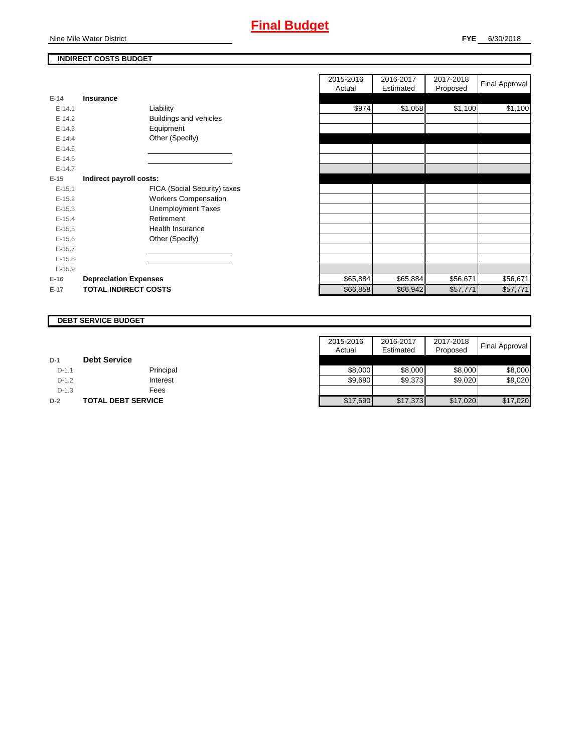

# **INDIRECT COSTS BUDGET**

| E-14 and the set of the set of the set of the set of the set of the set of the set of the set of the set of th | Insurance                    |
|----------------------------------------------------------------------------------------------------------------|------------------------------|
| $E - 14.1$                                                                                                     | Liability                    |
| $F-142$                                                                                                        | Buildings and vehicles       |
| $E-14.3$                                                                                                       | Equipment                    |
| $F-144$                                                                                                        | Other (Specify)              |
| $E-14.5$                                                                                                       |                              |
| $F-146$                                                                                                        |                              |
| $F-147$                                                                                                        |                              |
| E-15                                                                                                           | Indirect payroll costs:      |
| $E-15.1$                                                                                                       | FICA (Social Security) taxes |
| $F-152$                                                                                                        | <b>Workers Compensation</b>  |
| $E-15.3$                                                                                                       | <b>Unemployment Taxes</b>    |
| $E-15.4$                                                                                                       | Retirement                   |
| $E-15.5$                                                                                                       | Health Insurance             |
| $E - 15.6$                                                                                                     | Other (Specify)              |
| $E-15.7$                                                                                                       |                              |
| $E-15.8$                                                                                                       |                              |
| $E-15.9$                                                                                                       |                              |
| $E-16$                                                                                                         | <b>Depreciation Expenses</b> |
| $E-17$                                                                                                         | <b>TOTAL INDIRECT COSTS</b>  |

|          |                              | 2015-2016<br>Actual | 2016-2017<br>Estimated | 2017-2018<br>Proposed | Final Approval |
|----------|------------------------------|---------------------|------------------------|-----------------------|----------------|
| $E-14$   | <b>Insurance</b>             |                     |                        |                       |                |
| $E-14.1$ | Liability                    | \$974               | \$1,058                | \$1,100               | \$1,100        |
| $E-14.2$ | Buildings and vehicles       |                     |                        |                       |                |
| $E-14.3$ | Equipment                    |                     |                        |                       |                |
| $E-14.4$ | Other (Specify)              |                     |                        |                       |                |
| $E-14.5$ |                              |                     |                        |                       |                |
| $E-14.6$ |                              |                     |                        |                       |                |
| $E-14.7$ |                              |                     |                        |                       |                |
| $E-15$   | Indirect payroll costs:      |                     |                        |                       |                |
| $E-15.1$ | FICA (Social Security) taxes |                     |                        |                       |                |
| $E-15.2$ | <b>Workers Compensation</b>  |                     |                        |                       |                |
| $E-15.3$ | <b>Unemployment Taxes</b>    |                     |                        |                       |                |
| $E-15.4$ | Retirement                   |                     |                        |                       |                |
| $E-15.5$ | <b>Health Insurance</b>      |                     |                        |                       |                |
| $E-15.6$ | Other (Specify)              |                     |                        |                       |                |
| $E-15.7$ |                              |                     |                        |                       |                |
| $E-15.8$ |                              |                     |                        |                       |                |
| $E-15.9$ |                              |                     |                        |                       |                |
| $E-16$   | <b>Depreciation Expenses</b> | \$65,884            | \$65,884               | \$56,671              | \$56,671       |
| $E-17$   | <b>TOTAL INDIRECT COSTS</b>  | \$66,858            | \$66,942               | \$57,771              | \$57,771       |

#### **DEBT SERVICE BUDGET**

|         |                     | 2015-2016 | 2016-2017 | 2017-2018 |                       |
|---------|---------------------|-----------|-----------|-----------|-----------------------|
|         |                     | Actual    | Estimated | Proposed  | <b>Final Approval</b> |
| $D-1$   | <b>Debt Service</b> |           |           |           |                       |
| $D-1.1$ | Principal           | \$8,000   | \$8.000   | \$8,000   | \$8,000               |
| $D-1.2$ | Interest            | \$9,690   | \$9,373   | \$9,020   | \$9,020               |
| $D-1.3$ | Fees                |           |           |           |                       |
| $D-2$   | TOTAL DEBT SERVICE  | \$17,690  | \$17,373  | \$17,020  | \$17,020              |